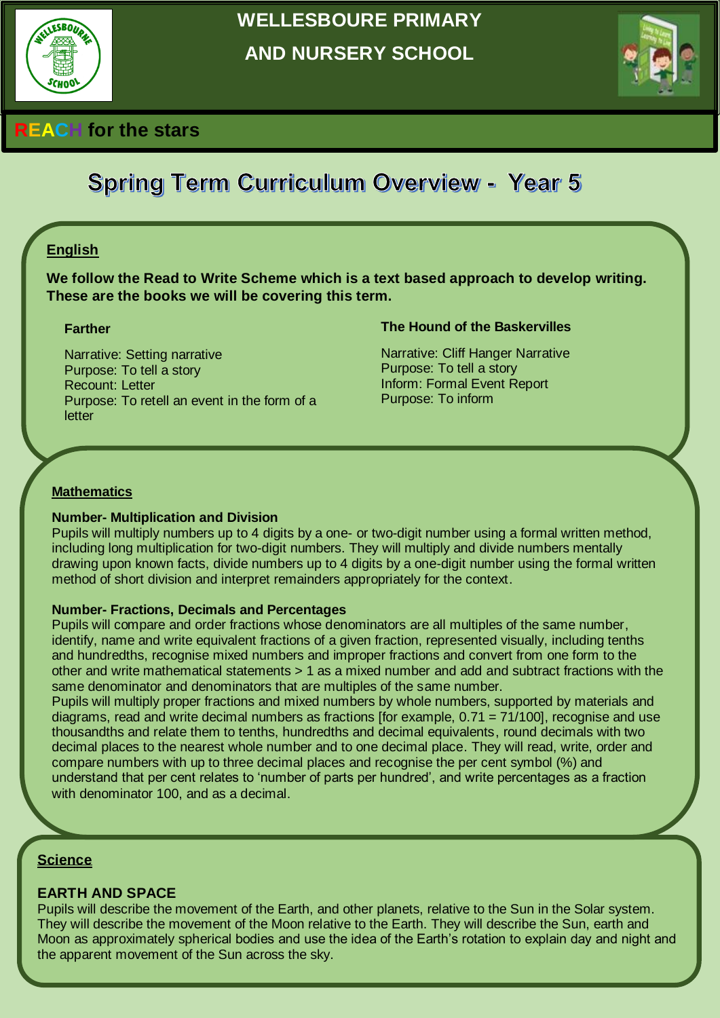

# **WELLESBOURE PRIMARY AND NURSERY SCHOOL**



# **REACH for the stars**

# **Spring Term Curriculum Overview - Year 5**

## **English**

**We follow the Read to Write Scheme which is a text based approach to develop writing. These are the books we will be covering this term.** 

#### **Farther**

Narrative: Setting narrative Purpose: To tell a story Recount: Letter Purpose: To retell an event in the form of a letter

#### **The Hound of the Baskervilles**

Narrative: Cliff Hanger Narrative Purpose: To tell a story Inform: Formal Event Report Purpose: To inform

#### **Mathematics**

#### **Number- Multiplication and Division**

Pupils will multiply numbers up to 4 digits by a one- or two-digit number using a formal written method, including long multiplication for two-digit numbers. They will multiply and divide numbers mentally drawing upon known facts, divide numbers up to 4 digits by a one-digit number using the formal written method of short division and interpret remainders appropriately for the context.

#### **Number- Fractions, Decimals and Percentages**

Pupils will compare and order fractions whose denominators are all multiples of the same number, identify, name and write equivalent fractions of a given fraction, represented visually, including tenths and hundredths, recognise mixed numbers and improper fractions and convert from one form to the other and write mathematical statements > 1 as a mixed number and add and subtract fractions with the same denominator and denominators that are multiples of the same number.

Pupils will multiply proper fractions and mixed numbers by whole numbers, supported by materials and diagrams, read and write decimal numbers as fractions [for example, 0.71 = 71/100], recognise and use thousandths and relate them to tenths, hundredths and decimal equivalents, round decimals with two decimal places to the nearest whole number and to one decimal place. They will read, write, order and compare numbers with up to three decimal places and recognise the per cent symbol (%) and understand that per cent relates to 'number of parts per hundred', and write percentages as a fraction with denominator 100, and as a decimal.

#### **Science**

#### **EARTH AND SPACE**

Pupils will describe the movement of the Earth, and other planets, relative to the Sun in the Solar system. They will describe the movement of the Moon relative to the Earth. They will describe the Sun, earth and Moon as approximately spherical bodies and use the idea of the Earth's rotation to explain day and night and the apparent movement of the Sun across the sky.